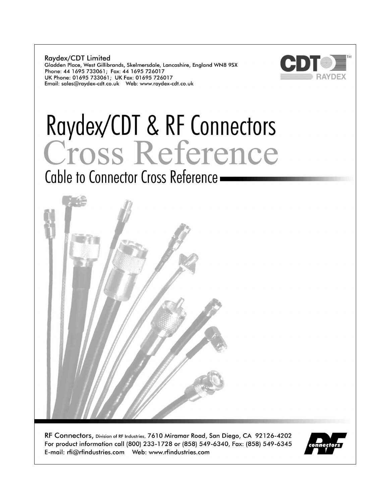**Raydex/CDT Limited** Gladden Place, West Gillibrands, Skelmersdale, Lancashire, England WN8 9SX Phone: 44 1695 733061; Fax: 44 1695 726017 UK Phone: 01695 733061; UK Fax: 01695 726017 



# Raydex/CDT & RF Connectors<br>Cross Reference

Cable to Connector Cross Reference -



RF Connectors, Division of RF Industries, 7610 Miramar Road, San Diego, CA 92126-4202 For product information call (800) 233-1728 or (858) 549-6340, Fax: (858) 549-6345 

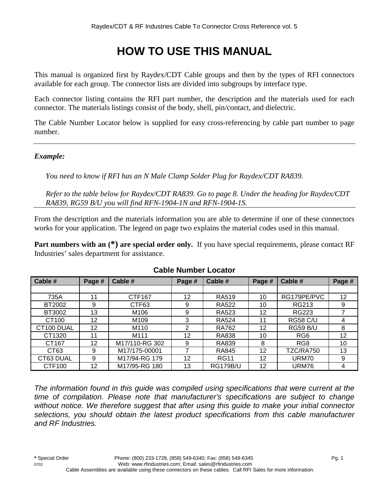# **HOW TO USE THIS MANUAL**

This manual is organized first by Raydex/CDT Cable groups and then by the types of RFI connectors available for each group. The connector lists are divided into subgroups by interface type.

Each connector listing contains the RFI part number, the description and the materials used for each connector. The materials listings consist of the body, shell, pin/contact, and dielectric.

The Cable Number Locator below is supplied for easy cross-referencing by cable part number to page number.

#### *Example:*

*You need to know if RFI has an N Male Clamp Solder Plug for Raydex/CDT RA839.* 

*Refer to the table below for Raydex/CDT RA839. Go to page 8. Under the heading for Raydex/CDT RA839, RG59 B/U you will find RFN-1904-1N and RFN-1904-1S.* 

From the description and the materials information you are able to determine if one of these connectors works for your application. The legend on page two explains the material codes used in this manual.

**Part numbers with an**  $(*)$  **are special order only.** If you have special requirements, please contact RF Industries' sales department for assistance.

| Cable #          | Page # | Cable #          | Page # | Cable #         | Page # | Cable #         | Page # |
|------------------|--------|------------------|--------|-----------------|--------|-----------------|--------|
|                  |        |                  |        |                 |        |                 |        |
| 735A             | 11     | CTF167           | 12     | <b>RA519</b>    | 10     | RG179PE/PVC     | 12     |
| BT2002           | 9      | CTF63            | 9      | <b>RA522</b>    | 10     | RG213           | 9      |
| BT3002           | 13     | M106             | 9      | <b>RA523</b>    | 12     | <b>RG223</b>    |        |
| CT100            | 12     | M <sub>109</sub> | 3      | <b>RA524</b>    | 11     | <b>RG58 C/U</b> | 4      |
| CT100 DUAL       | 12     | M110             | 2      | <b>RA762</b>    | 12     | <b>RG59 B/U</b> | 8      |
| CT1320           | 11     | M <sub>111</sub> | 12     | <b>RA838</b>    | 10     | RG <sub>6</sub> | 12     |
| CT167            | 12     | M17/110-RG 302   | 9      | <b>RA839</b>    | 8      | RG <sub>8</sub> | 10     |
| CT <sub>63</sub> | 9      | M17/175-00001    |        | <b>RA845</b>    | 12     | TZC/RA750       | 13     |
| CT63 DUAL        | 9      | M17/94-RG 179    | 12     | <b>RG11</b>     | 12     | URM70           | 9      |
| CTF100           | 12     | M17/95-RG 180    | 13     | <b>RG179B/U</b> | 12     | URM76           | 4      |

#### **Cable Number Locator**

*The information found in this guide was compiled using specifications that were current at the time of compilation. Please note that manufacturer's specifications are subject to change without notice. We therefore suggest that after using this guide to make your initial connector selections, you should obtain the latest product specifications from this cable manufacturer and RF Industries.*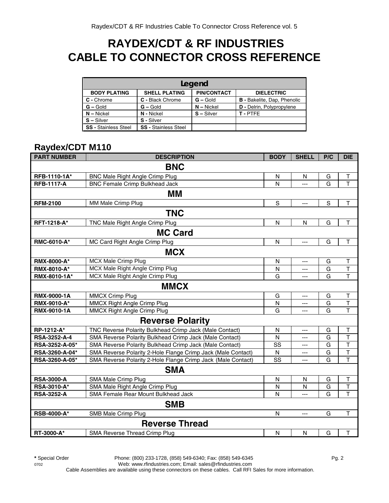## **RAYDEX/CDT & RF INDUSTRIES CABLE TO CONNECTOR CROSS REFERENCE**

| Legend                      |                             |                    |                                    |  |  |  |  |
|-----------------------------|-----------------------------|--------------------|------------------------------------|--|--|--|--|
| <b>BODY PLATING</b>         | <b>SHELL PLATING</b>        | <b>PIN/CONTACT</b> | <b>DIELECTRIC</b>                  |  |  |  |  |
| C - Chrome                  | C - Black Chrome            | $G -$ Gold         | <b>B</b> - Bakelite, Dap, Phenolic |  |  |  |  |
| $G - Gold$                  | $G -$ Gold                  | $N - Nickel$       | <b>D</b> - Delrin, Polypropylene   |  |  |  |  |
| $N - Nickel$                | N - Nickel                  | $S - Silver$       | T-PTFE                             |  |  |  |  |
| $S - Silver$                | S - Silver                  |                    |                                    |  |  |  |  |
| <b>SS - Stainless Steel</b> | <b>SS - Stainless Steel</b> |                    |                                    |  |  |  |  |

#### **Raydex/CDT M110**

| <b>PART NUMBER</b> | <b>DESCRIPTION</b>                                           | <b>BODY</b> | <b>SHELL</b>   | P/C         | <b>DIE</b>              |
|--------------------|--------------------------------------------------------------|-------------|----------------|-------------|-------------------------|
|                    | <b>BNC</b>                                                   |             |                |             |                         |
| RFB-1110-1A*       | <b>BNC Male Right Angle Crimp Plug</b>                       | N           | N              | G           | T                       |
| <b>RFB-1117-A</b>  | <b>BNC Female Crimp Bulkhead Jack</b>                        | N           | $---$          | G           | $\overline{1}$          |
|                    | MМ                                                           |             |                |             |                         |
| <b>RFM-2100</b>    | MM Male Crimp Plug                                           | $\mathbf S$ | ---            | $\mathsf S$ | $\top$                  |
|                    | <b>TNC</b>                                                   |             |                |             |                         |
| RFT-1218-A*        | TNC Male Right Angle Crimp Plug                              | N           | N              | G           | $\top$                  |
|                    | <b>MC Card</b>                                               |             |                |             |                         |
| RMC-6010-A*        | MC Card Right Angle Crimp Plug                               | N           | $---$          | G           | $\mathsf T$             |
|                    | <b>MCX</b>                                                   |             |                |             |                         |
| <b>RMX-8000-A*</b> | MCX Male Crimp Plug                                          | N           | $---$          | G           | T                       |
| RMX-8010-A*        | MCX Male Right Angle Crimp Plug                              | N           | $\overline{a}$ | G           | $\top$                  |
| RMX-8010-1A*       | MCX Male Right Angle Crimp Plug                              | G           | ---            | G           | $\mathsf T$             |
|                    | <b>MMCX</b>                                                  |             |                |             |                         |
| RMX-9000-1A        | <b>MMCX Crimp Plug</b>                                       | G           | ---            | G           | $\sf T$                 |
| RMX-9010-A*        | MMCX Right Angle Crimp Plug                                  | N           | $---$          | G           | $\sf T$                 |
| RMX-9010-1A        | MMCX Right Angle Crimp Plug                                  | G           | ---            | G           | $\overline{\mathsf{T}}$ |
|                    | <b>Reverse Polarity</b>                                      |             |                |             |                         |
| RP-1212-A*         | TNC Reverse Polarity Bulkhead Crimp Jack (Male Contact)      | ${\sf N}$   | ---            | G           | $\sf T$                 |
| RSA-3252-A-4       | SMA Reverse Polarity Bulkhead Crimp Jack (Male Contact)      | N           | $\overline{a}$ | G           | $\sf T$                 |
| RSA-3252-A-05*     | SMA Reverse Polarity Bulkhead Crimp Jack (Male Contact)      | SS          | ---            | G           | $\overline{\mathsf{T}}$ |
| RSA-3260-A-04*     | SMA Reverse Polarity 2-Hole Flange Crimp Jack (Male Contact) | N           | ---            | G           | $\overline{\mathsf{T}}$ |
| RSA-3260-A-05*     | SMA Reverse Polarity 2-Hole Flange Crimp Jack (Male Contact) | SS          | ---            | G           | T                       |
|                    | <b>SMA</b>                                                   |             |                |             |                         |
| <b>RSA-3000-A</b>  | SMA Male Crimp Plug                                          | N           | N              | G           | $\sf T$                 |
| RSA-3010-A*        | SMA Male Right Angle Crimp Plug                              | N           | N              | G           | $\mathsf T$             |
| <b>RSA-3252-A</b>  | SMA Female Rear Mount Bulkhead Jack                          | N           | ---            | G           | T                       |
|                    | <b>SMB</b>                                                   |             |                |             |                         |
| <b>RSB-4000-A*</b> | SMB Male Crimp Plug                                          | N           | ---            | G           | $\top$                  |
|                    | <b>Reverse Thread</b>                                        |             |                |             |                         |
| RT-3000-A*         | SMA Reverse Thread Crimp Plug                                | N           | N              | G           | $\mathsf T$             |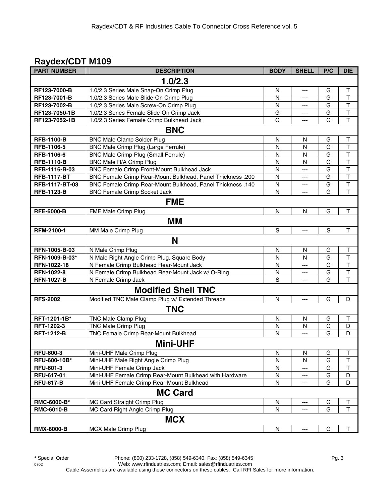#### **Raydex/CDT M109**

| <b>PART NUMBER</b> | <b>DESCRIPTION</b>                                         | <b>BODY</b> | <b>SHELL</b>             | P/C           | <b>DIE</b>              |
|--------------------|------------------------------------------------------------|-------------|--------------------------|---------------|-------------------------|
|                    | 1.0/2.3                                                    |             |                          |               |                         |
| RF123-7000-B       | 1.0/2.3 Series Male Snap-On Crimp Plug                     | N           | $---$                    | G             | T                       |
| RF123-7001-B       | 1.0/2.3 Series Male Slide-On Crimp Plug                    | N           | ---                      | G             | $\top$                  |
| RF123-7002-B       | 1.0/2.3 Series Male Screw-On Crimp Plug                    | N           | ---                      | G             | T                       |
| RF123-7050-1B      | 1.0/2.3 Series Female Slide-On Crimp Jack                  | G           | ---                      | G             | $\sf T$                 |
| RF123-7052-1B      | 1.0/2.3 Series Female Crimp Bulkhead Jack                  | G           | $---$                    | G             | $\mathsf{T}$            |
|                    | <b>BNC</b>                                                 |             |                          |               |                         |
| <b>RFB-1100-B</b>  | <b>BNC Male Clamp Solder Plug</b>                          | N           | N                        | G             | T                       |
| RFB-1106-5         | BNC Male Crimp Plug (Large Ferrule)                        | N           | N                        | G             | T                       |
| RFB-1106-6         | BNC Male Crimp Plug (Small Ferrule)                        | N           | N                        | G             | T                       |
| <b>RFB-1110-B</b>  | BNC Male R/A Crimp Plug                                    | N           | N                        | G             | T                       |
| RFB-1116-B-03      | BNC Female Crimp Front-Mount Bulkhead Jack                 | N           | $---$                    | G             | $\overline{\mathsf{T}}$ |
| <b>RFB-1117-BT</b> | BNC Female Crimp Rear-Mount Bulkhead, Panel Thickness .200 | N           | ---                      | G             | $\overline{\mathsf{T}}$ |
| RFB-1117-BT-03     | BNC Female Crimp Rear-Mount Bulkhead, Panel Thickness .140 | N           | ---                      | G             | $\overline{\mathsf{T}}$ |
| <b>RFB-1123-B</b>  | <b>BNC Female Crimp Socket Jack</b>                        | N           | ---                      | G             | T                       |
|                    | <b>FME</b>                                                 |             |                          |               |                         |
| <b>RFE-6000-B</b>  | FME Male Crimp Plug                                        | N           | N                        | G             | $\top$                  |
|                    | <b>MM</b>                                                  |             |                          |               |                         |
| RFM-2100-1         | MM Male Crimp Plug                                         | $\mathbf S$ | ---                      | ${\mathsf S}$ | $\top$                  |
|                    | N                                                          |             |                          |               |                         |
| RFN-1005-B-03      | N Male Crimp Plug                                          | ${\sf N}$   | N                        | G             | $\sf T$                 |
| RFN-1009-B-03*     | N Male Right Angle Crimp Plug, Square Body                 | N           | N                        | G             | $\sf T$                 |
| RFN-1022-18        | N Female Crimp Bulkhead Rear-Mount Jack                    | ${\sf N}$   | ---                      | G             | $\overline{\mathsf{T}}$ |
| <b>RFN-1022-8</b>  | N Female Crimp Bulkhead Rear-Mount Jack w/ O-Ring          | N           | ---                      | G             | $\overline{\mathsf{T}}$ |
| <b>RFN-1027-B</b>  | N Female Crimp Jack                                        | $\mathbf S$ | ---                      | G             | T                       |
|                    | <b>Modified Shell TNC</b>                                  |             |                          |               |                         |
| <b>RFS-2002</b>    |                                                            | ${\sf N}$   |                          | G             |                         |
|                    | Modified TNC Male Clamp Plug w/ Extended Threads           |             | ---                      |               | D                       |
|                    | <b>TNC</b>                                                 |             |                          |               |                         |
| RFT-1201-1B*       | TNC Male Clamp Plug                                        | N           | N                        | G             | $\sf T$                 |
| RFT-1202-3         | <b>TNC Male Crimp Plug</b>                                 | N           | N                        | G             | D                       |
| <b>RFT-1212-B</b>  | TNC Female Crimp Rear-Mount Bulkhead                       | N           | ---                      | G             | D                       |
|                    | <b>Mini-UHF</b>                                            |             |                          |               |                         |
| <b>RFU-600-3</b>   | Mini-UHF Male Crimp Plug                                   | N           | N                        | G             | Τ                       |
| RFU-600-10B*       | Mini-UHF Male Right Angle Crimp Plug                       | N           | N                        | G             | Τ                       |
| RFU-601-3          | Mini-UHF Female Crimp Jack                                 | N           | ---                      | G             | T                       |
| RFU-617-01         | Mini-UHF Female Crimp Rear-Mount Bulkhead with Hardware    | N           | ---                      | G             | D                       |
| <b>RFU-617-B</b>   | Mini-UHF Female Crimp Rear-Mount Bulkhead                  | N           | ---                      | G             | D                       |
|                    | <b>MC Card</b>                                             |             |                          |               |                         |
| RMC-6000-B*        | MC Card Straight Crimp Plug                                | N           | ---                      | G             | T                       |
| <b>RMC-6010-B</b>  | MC Card Right Angle Crimp Plug                             | N           | ---                      | G             | $\top$                  |
|                    | <b>MCX</b>                                                 |             |                          |               |                         |
| <b>RMX-8000-B</b>  | <b>MCX Male Crimp Plug</b>                                 | N           | $\hspace{0.05cm} \ldots$ | G             | Τ                       |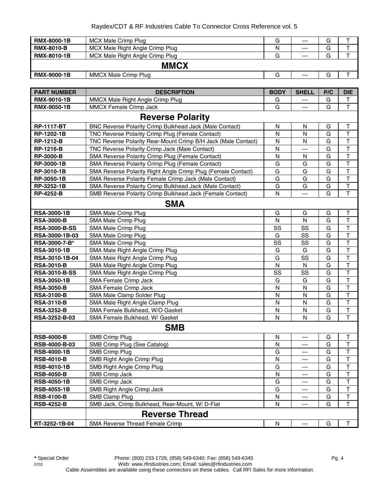#### Raydex/CDT & RF Industries Cable To Connector Cross Reference vol. 5

| <b>RMX-8000-1B</b> | MCX Male Crimp Plug             | G | $--$  | G |  |
|--------------------|---------------------------------|---|-------|---|--|
| <b>RMX-8010-B</b>  | MCX Male Right Angle Crimp Plug | N | $---$ | G |  |
| <b>RMX-8010-1B</b> | MCX Male Right Angle Crimp Plug | G | $---$ | G |  |
|                    | <b>MMCX</b>                     |   |       |   |  |
| <b>RMX-9000-1B</b> | <b>MMCX Male Crimp Plug</b>     | G | $---$ | G |  |

| <b>PART NUMBER</b>      | <b>DESCRIPTION</b>                                            | <b>BODY</b>  | <b>SHELL</b> | P/C | <b>DIE</b>              |  |  |
|-------------------------|---------------------------------------------------------------|--------------|--------------|-----|-------------------------|--|--|
| RMX-9010-1B             | MMCX Male Right Angle Crimp Plug                              | G            | ---          | G   | Т                       |  |  |
| <b>RMX-9050-1B</b>      | MMCX Female Crimp Jack                                        | G            | ---          | G   | T                       |  |  |
| <b>Reverse Polarity</b> |                                                               |              |              |     |                         |  |  |
| <b>RP-1117-BT</b>       | BNC Reverse Polarity Crimp Bulkhead Jack (Male Contact)       | N            | N            | G   | T                       |  |  |
| RP-1202-1B              | TNC Reverse Polarity Crimp Plug (Female Contact)              | N            | N            | G   | $\mathsf T$             |  |  |
| <b>RP-1212-B</b>        | TNC Reverse Polarity Rear-Mount Crimp B/H Jack (Male Contact) | $\mathsf{N}$ | N            | G   | $\mathsf T$             |  |  |
| <b>RP-1216-B</b>        | TNC Reverse Polarity Crimp Jack (Male Contact)                | N            | ---          | G   | $\overline{\mathsf{T}}$ |  |  |
| <b>RP-3000-B</b>        | SMA Reverse Polarity Crimp Plug (Female Contact)              | N            | N            | G   | $\top$                  |  |  |
| RP-3000-1B              | SMA Reverse Polarity Crimp Plug (Female Contact)              | G            | G            | G   | $\sf T$                 |  |  |
| RP-3010-1B              | SMA Reverse Polarity Right Angle Crimp Plug (Female Contact)  | G            | G            | G   | $\overline{\mathsf{T}}$ |  |  |
| RP-3050-1B              | SMA Reverse Polarity Female Crimp Jack (Male Contact)         | G            | G            | G   | $\top$                  |  |  |
| RP-3252-1B              | SMA Reverse Polarity Crimp Bulkhead Jack (Male Contact)       | G            | G            | G   | $\sf T$                 |  |  |
| <b>RP-4252-B</b>        | SMB Reverse Polarity Crimp Bulkhead Jack (Female Contact)     | $\mathsf{N}$ | ---          | G   | $\mathsf T$             |  |  |
|                         | <b>SMA</b>                                                    |              |              |     |                         |  |  |
| <b>RSA-3000-1B</b>      | SMA Male Crimp Plug                                           | G            | G            | G   | $\mathsf T$             |  |  |
| <b>RSA-3000-B</b>       | SMA Male Crimp Plug                                           | N            | N            | G   | $\mathsf T$             |  |  |
| <b>RSA-3000-B-SS</b>    | SMA Male Crimp Plug                                           | SS           | SS           | G   | $\mathsf T$             |  |  |
| RSA-3000-1B-03          | SMA Male Crimp Plug                                           | G            | SS           | G   | $\mathsf T$             |  |  |
| RSA-3000-7-B*           | SMA Male Crimp Plug                                           | SS           | SS           | G   | $\mathsf T$             |  |  |
| <b>RSA-3010-1B</b>      | SMA Male Right Angle Crimp Plug                               | G            | G            | G   | $\top$                  |  |  |
| RSA-3010-1B-04          | SMA Male Right Angle Crimp Plug                               | G            | SS           | G   | $\top$                  |  |  |
| <b>RSA-3010-B</b>       | SMA Male Right Angle Crimp Plug                               | N            | N            | G   | $\mathsf T$             |  |  |
| <b>RSA-3010-B-SS</b>    | SMA Male Right Angle Crimp Plug                               | SS           | SS           | G   | $\top$                  |  |  |
| <b>RSA-3050-1B</b>      | <b>SMA Female Crimp Jack</b>                                  | G            | G            | G   | $\top$                  |  |  |
| <b>RSA-3050-B</b>       | SMA Female Crimp Jack                                         | N            | ${\sf N}$    | G   | $\mathsf T$             |  |  |
| <b>RSA-3100-B</b>       | SMA Male Clamp Solder Plug                                    | N            | N            | G   | $\mathsf T$             |  |  |
| <b>RSA-3110-B</b>       | SMA Male Right Angle Clamp Plug                               | N            | N            | G   | $\mathsf T$             |  |  |
| <b>RSA-3252-B</b>       | SMA Female Bulkhead, W/O Gasket                               | N            | N            | G   | $\mathsf T$             |  |  |
| RSA-3252-B-03           | SMA Female Bulkhead, W/ Gasket                                | N            | N            | G   | $\mathsf T$             |  |  |
|                         | <b>SMB</b>                                                    |              |              |     |                         |  |  |
| <b>RSB-4000-B</b>       | <b>SMB Crimp Plug</b>                                         | N            | ---          | G   | $\mathsf T$             |  |  |
| <b>RSB-4000-B-03</b>    | SMB Crimp Plug (See Catalog)                                  | N            | ---          | G   | $\top$                  |  |  |
| <b>RSB-4000-1B</b>      | <b>SMB Crimp Plug</b>                                         | G            | ---          | G   | $\mathsf T$             |  |  |
| <b>RSB-4010-B</b>       | SMB Right Angle Crimp Plug                                    | N            | ---          | G   | $\top$                  |  |  |
| <b>RSB-4010-1B</b>      | SMB Right Angle Crimp Plug                                    | G            | ---          | G   | $\top$                  |  |  |
| <b>RSB-4050-B</b>       | SMB Crimp Jack                                                | N            | ---          | G   | $\overline{\mathsf{T}}$ |  |  |
| <b>RSB-4050-1B</b>      | SMB Crimp Jack                                                | G            | ---          | G   | T                       |  |  |
| <b>RSB-4055-1B</b>      | SMB Right Angle Crimp Jack                                    | G            | ---          | G   | T                       |  |  |
| <b>RSB-4100-B</b>       | SMB Clamp Plug                                                | N            | ---          | G   | T                       |  |  |
| <b>RSB-4252-B</b>       | SMB Jack, Crimp Bulkhead, Rear-Mount, W/ D-Flat               | $\mathsf{N}$ |              | G   | T                       |  |  |
|                         | <b>Reverse Thread</b>                                         |              |              |     |                         |  |  |
| RT-3252-1B-04           | SMA Reverse Thread Female Crimp                               | N            | ---          | G   | Τ                       |  |  |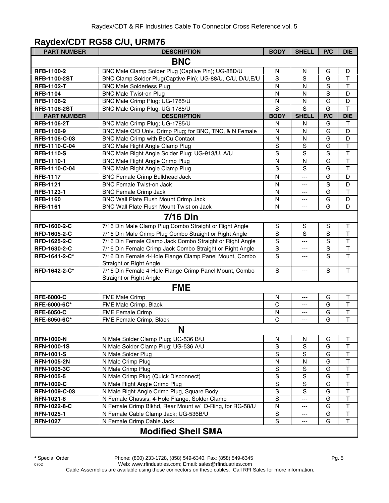#### **Raydex/CDT RG58 C/U, URM76**

| <b>PART NUMBER</b>  | <b>DESCRIPTION</b>                                                                | <b>BODY</b>    | <b>SHELL</b>   | P/C            | <b>DIE</b>              |
|---------------------|-----------------------------------------------------------------------------------|----------------|----------------|----------------|-------------------------|
|                     | <b>BNC</b>                                                                        |                |                |                |                         |
| RFB-1100-2          | BNC Male Clamp Solder Plug (Captive Pin); UG-88D/U                                | N              | N              | G              | D                       |
| <b>RFB-1100-2ST</b> | BNC Clamp Solder Plug(Captive Pin); UG-88/U, C/U, D/U, E/U                        | S              | S              | G              | $\sf T$                 |
| <b>RFB-1102-T</b>   | <b>BNC Male Solderless Plug</b>                                                   | N              | N              | S              | $\top$                  |
| <b>RFB-1104</b>     | <b>BNC Male Twist-on Plug</b>                                                     | N              | N              | $\mathbf S$    | D                       |
| RFB-1106-2          | BNC Male Crimp Plug; UG-1785/U                                                    | N              | N              | G              | D                       |
| <b>RFB-1106-2ST</b> | BNC Male Crimp Plug; UG-1785/U                                                    | S              | S              | G              | $\mathsf{T}$            |
| <b>PART NUMBER</b>  | <b>DESCRIPTION</b>                                                                | <b>BODY</b>    | <b>SHELL</b>   | P/C            | <b>DIE</b>              |
| <b>RFB-1106-2T</b>  | BNC Male Crimp Plug; UG-1785/U                                                    | N              | N              | G              | Τ                       |
| RFB-1106-9          | BNC Male Q/D Univ. Crimp Plug; for BNC, TNC, & N Female                           | N              | N              | G              | D                       |
| RFB-1106-C-03       | <b>BNC Male Crimp with BeCu Contact</b>                                           | ${\sf N}$      | N              | G              | D                       |
| RFB-1110-C-04       | <b>BNC Male Right Angle Clamp Plug</b>                                            | $\mathbf S$    | $\mathbf S$    | G              | $\top$                  |
| <b>RFB-1110-S</b>   | BNC Male Right Angle Solder Plug; UG-913/U, A/U                                   | S              | S              | S              | $\overline{\mathsf{T}}$ |
| RFB-1110-1          | BNC Male Right Angle Crimp Plug                                                   | N              | N              | G              | $\overline{\mathsf{T}}$ |
| RFB-1110-C-04       | <b>BNC Male Right Angle Clamp Plug</b>                                            | $\overline{s}$ | S              | G              | $\overline{\mathsf{T}}$ |
| <b>RFB-1117</b>     | <b>BNC Female Crimp Bulkhead Jack</b>                                             | $\mathsf{N}$   | $\overline{a}$ | G              | D                       |
| <b>RFB-1121</b>     | <b>BNC Female Twist-on Jack</b>                                                   | N              | ---            | S              | D                       |
| RFB-1123-1          | <b>BNC Female Crimp Jack</b>                                                      | $\mathsf{N}$   | ---            | G              | $\overline{\mathsf{T}}$ |
| <b>RFB-1160</b>     | BNC Wall Plate Flush Mount Crimp Jack                                             | $\mathsf{N}$   | ---            | G              | D                       |
| <b>RFB-1161</b>     | BNC Wall Plate Flush Mount Twist on Jack                                          | N              | ---            | G              | D                       |
|                     | <b>7/16 Din</b>                                                                   |                |                |                |                         |
| RFD-1600-2-C        | 7/16 Din Male Clamp Plug Combo Straight or Right Angle                            | $\mathbb S$    | S              | $\mathbb S$    | $\mathsf T$             |
| RFD-1605-2-C        | 7/16 Din Male Crimp Plug Combo Straight or Right Angle                            | $\mathbf S$    | S              | $\overline{s}$ | $\overline{\mathsf{T}}$ |
| RFD-1625-2-C        | 7/16 Din Female Clamp Jack Combo Straight or Right Angle                          | $\mathbf S$    | ---            | $\overline{s}$ | $\overline{\mathsf{T}}$ |
| RFD-1630-2-C        | 7/16 Din Female Crimp Jack Combo Straight or Right Angle                          | $\mathbf S$    | ---            | S              | $\overline{\mathsf{T}}$ |
| RFD-1641-2-C*       | 7/16 Din Female 4-Hole Flange Clamp Panel Mount, Combo                            | S              | ---            | S              | $\overline{\mathsf{T}}$ |
|                     | Straight or Right Angle                                                           |                |                |                |                         |
| RFD-1642-2-C*       | 7/16 Din Female 4-Hole Flange Crimp Panel Mount, Combo<br>Straight or Right Angle | $\mathbf S$    | ---            | S              | T                       |
|                     | <b>FME</b>                                                                        |                |                |                |                         |
| <b>RFE-6000-C</b>   | FME Male Crimp                                                                    | N              | ---            | G              | $\mathsf T$             |
| RFE-6000-6C*        | FME Male Crimp, Black                                                             | C              | ---            | G              | $\mathsf{T}$            |
| <b>RFE-6050-C</b>   | <b>FME Female Crimp</b>                                                           | N              | $---$          | G              | $\top$                  |
| RFE-6050-6C*        | FME Female Crimp, Black                                                           | $\mathsf C$    | ---            | G              | $\mathsf T$             |
|                     | N                                                                                 |                |                |                |                         |
| <b>RFN-1000-N</b>   | N Male Solder Clamp Plug; UG-536 B/U                                              | N              | N              | G              | $\mathsf T$             |
| <b>RFN-1000-1S</b>  | N Male Solder Clamp Plug; UG-536 A/U                                              | S              | $\mathbf S$    | G              | $\top$                  |
| <b>RFN-1001-S</b>   | N Male Solder Plug                                                                | S              | S              | G              | $\sf T$                 |
| <b>RFN-1005-2N</b>  | N Male Crimp Plug                                                                 | N              | N              | G              | $\mathsf T$             |
| <b>RFN-1005-3C</b>  | N Male Crimp Plug                                                                 | ${\sf S}$      | $\mathbf S$    | G              | $\mathsf T$             |
| <b>RFN-1005-5</b>   | N Male Crimp Plug (Quick Disconnect)                                              | S              | S              | G              | $\sf T$                 |
| <b>RFN-1009-C</b>   | N Male Right Angle Crimp Plug                                                     | S              | ${\mathsf S}$  | G              | T                       |
| RFN-1009-C-03       | N Male Right Angle Crimp Plug, Square Body                                        | $\mathbf S$    | S              | G              | $\top$                  |
| RFN-1021-6          | N Female Chassis, 4-Hole Flange, Solder Clamp                                     | $\mathbf S$    | ---            | G              | $\top$                  |
| RFN-1022-8-C        | N Female Crimp Blkhd, Rear Mount w/ O-Ring, for RG-58/U                           | N              | $---$          | G              | T                       |
| <b>RFN-1025-1</b>   | N Female Cable Clamp Jack; UG-536B/U                                              | S              | ---            | G              | $\top$                  |
| <b>RFN-1027</b>     | N Female Crimp Cable Jack                                                         | S              | ---            | G              | $\mathsf T$             |
|                     | <b>Modified Shell SMA</b>                                                         |                |                |                |                         |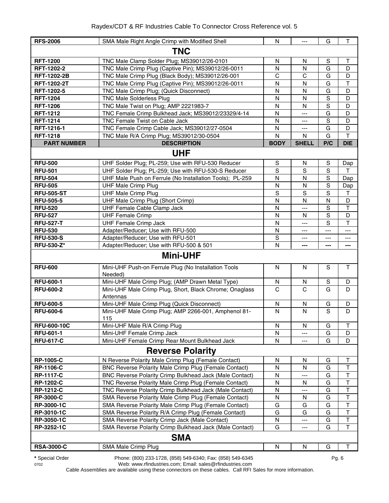| <b>RFS-2006</b>    | SMA Male Right Angle Crimp with Modified Shell                      | N            | ---            | G           | $\mathsf T$             |  |  |
|--------------------|---------------------------------------------------------------------|--------------|----------------|-------------|-------------------------|--|--|
| <b>TNC</b>         |                                                                     |              |                |             |                         |  |  |
| <b>RFT-1200</b>    | TNC Male Clamp Solder Plug; MS39012/26-0101                         | $\mathsf{N}$ | N              | $\mathbf S$ | $\mathsf T$             |  |  |
| <b>RFT-1202-2</b>  | TNC Male Crimp Plug (Captive Pin); MS39012/26-0011                  | N            | N              | G           | D                       |  |  |
| <b>RFT-1202-2B</b> | TNC Male Crimp Plug (Black Body); MS39012/26-001                    | $\mathsf{C}$ | C              | G           | D                       |  |  |
| <b>RFT-1202-2T</b> | TNC Male Crimp Plug (Captive Pin); MS39012/26-0011                  | N            | N              | G           | $\mathsf{T}$            |  |  |
| RFT-1202-5         | TNC Male Crimp Plug; (Quick Disconnect)                             | N            | N              | G           | D                       |  |  |
| <b>RFT-1204</b>    | <b>TNC Male Solderless Plug</b>                                     | N            | N              | $\mathbf S$ | D                       |  |  |
| <b>RFT-1206</b>    | TNC Male Twist on Plug; AMP 2221983-7                               | $\mathsf{N}$ | $\mathsf{N}$   | S           | D                       |  |  |
| <b>RFT-1212</b>    | TNC Female Crimp Bulkhead Jack; MS39012/23329/4-14                  | N            | ---            | G           | D                       |  |  |
| <b>RFT-1214</b>    | TNC Female Twist on Cable Jack                                      | $\mathsf{N}$ | $---$          | S           | D                       |  |  |
| RFT-1216-1         | TNC Female Crimp Cable Jack; MS39012/27-0504                        | $\mathsf{N}$ | $---$          | G           | D                       |  |  |
| <b>RFT-1218</b>    | TNC Male R/A Crimp Plug; MS39012/30-0504                            | N            | N              | G           | T                       |  |  |
| <b>PART NUMBER</b> | <b>DESCRIPTION</b>                                                  | <b>BODY</b>  | <b>SHELL</b>   | P/C         | <b>DIE</b>              |  |  |
|                    | <b>UHF</b>                                                          |              |                |             |                         |  |  |
| <b>RFU-500</b>     | UHF Solder Plug; PL-259; Use with RFU-530 Reducer                   | S            | N              | S           | Dap                     |  |  |
| <b>RFU-501</b>     | UHF Solder Plug; PL-259; Use with RFU-530-S Reducer                 | S            | S              | S           | T                       |  |  |
| <b>RFU-504</b>     | UHF Male Push on Ferrule (No Installation Tools); PL-259            | N            | N              | $\mathbf S$ | Dap                     |  |  |
| <b>RFU-505</b>     | <b>UHF Male Crimp Plug</b>                                          | $\mathsf{N}$ | N              | S           | Dap                     |  |  |
| <b>RFU-505-ST</b>  | <b>UHF Male Crimp Plug</b>                                          | S            | $\mathbf S$    | $\mathbf S$ | $\mathsf{T}$            |  |  |
| <b>RFU-505-5</b>   | UHF Male Crimp Plug (Short Crimp)                                   | N            | N              | N           | D                       |  |  |
| <b>RFU-520</b>     | UHF Female Cable Clamp Jack                                         | N            | $---$          | S           | $\top$                  |  |  |
| <b>RFU-527</b>     | <b>UHF Female Crimp</b>                                             | N            | N.             | S           | D                       |  |  |
| <b>RFU-527-T</b>   | <b>UHF Female Crimp Jack</b>                                        | N            | $\overline{a}$ | S           | T                       |  |  |
| <b>RFU-530</b>     | Adapter/Reducer; Use with RFU-500                                   | N            | ---            | ---         | ---                     |  |  |
| <b>RFU-530-S</b>   | Adapter/Reducer; Use with RFU-501                                   | $\mathbf S$  | ---            | ---         | ---                     |  |  |
| <b>RFU-530-Z*</b>  | Adapter/Reducer; Use with RFU-500 & 501                             | N            | ---            | ---         | ---                     |  |  |
|                    | <b>Mini-UHF</b>                                                     |              |                |             |                         |  |  |
| <b>RFU-600</b>     | Mini-UHF Push-on Ferrule Plug (No Installation Tools<br>Needed)     | N            | N              | S           | T                       |  |  |
| <b>RFU-600-1</b>   | Mini-UHF Male Crimp Plug; (AMP Drawn Metal Type)                    | N            | N              | S           | D                       |  |  |
| <b>RFU-600-2</b>   | Mini-UHF Male Crimp Plug, Short, Black Chrome; Onaglass<br>Antennas | $\mathsf{C}$ | C              | G           | D                       |  |  |
| <b>RFU-600-5</b>   | Mini-UHF Male Crimp Plug (Quick Disconnect)                         | N            | N              | G           | D                       |  |  |
| <b>RFU-600-6</b>   | Mini-UHF Male Crimp Plug; AMP 2266-001, Amphenol 81-<br>115         | N            | N              | S           | D                       |  |  |
| <b>RFU-600-10C</b> | Mini-UHF Male R/A Crimp Plug                                        | N            | N              | G           | T                       |  |  |
| <b>RFU-601-1</b>   | Mini-UHF Female Crimp Jack                                          | N            | ---            | G           | D                       |  |  |
| <b>RFU-617-C</b>   | Mini-UHF Female Crimp Rear Mount Bulkhead Jack                      | N            | ---            | G           | D                       |  |  |
|                    | <b>Reverse Polarity</b>                                             |              |                |             |                         |  |  |
| <b>RP-1005-C</b>   | N Reverse Polarity Male Crimp Plug (Female Contact)                 | N            | N              | G           | T                       |  |  |
| <b>RP-1106-C</b>   | BNC Reverse Polarity Male Crimp Plug (Female Contact)               | N            | N              | G           | $\top$                  |  |  |
| <b>RP-1117-C</b>   | BNC Reverse Polarity Crimp Bulkhead Jack (Male Contact)             | N            | ---            | G           | $\mathsf T$             |  |  |
| <b>RP-1202-C</b>   | TNC Reverse Polarity Male Crimp Plug (Female Contact)               | N            | N              | G           | $\overline{\mathsf{T}}$ |  |  |
| <b>RP-1212-C</b>   | TNC Reverse Polarity Crimp Bulkhead Jack (Male Contact)             | N            | ---            | G           | $\top$                  |  |  |
| <b>RP-3000-C</b>   | SMA Reverse Polarity Male Crimp Plug (Female Contact)               | N            | N              | G           | $\mathsf T$             |  |  |
| RP-3000-1C         | SMA Reverse Polarity Male Crimp Plug (Female Contact)               | G            | G              | G           | $\overline{\mathsf{T}}$ |  |  |
| RP-3010-1C         | SMA Reverse Polarity R/A Crimp Plug (Female Contact)                | G            | G              | G           | $\overline{\mathsf{T}}$ |  |  |
| RP-3050-1C         | SMA Reverse Polarity Crimp Jack (Male Contact)                      | N            | ---            | G           | $\overline{\mathsf{T}}$ |  |  |
| RP-3252-1C         | SMA Reverse Polarity Crimp Bulkhead Jack (Male Contact)             | G            | ---            | G           | $\mathsf{T}$            |  |  |
|                    | <b>SMA</b>                                                          |              |                |             |                         |  |  |
| <b>RSA-3000-C</b>  | SMA Male Crimp Plug                                                 | N            | ${\sf N}$      | G           | Т                       |  |  |

**\*** Special Order Phone: (800) 233-1728, (858) 549-6340; Fax: (858) 549-6345 Pg. 6

0702 Web: www.rfindustries.com; Email: sales@rfindustries.com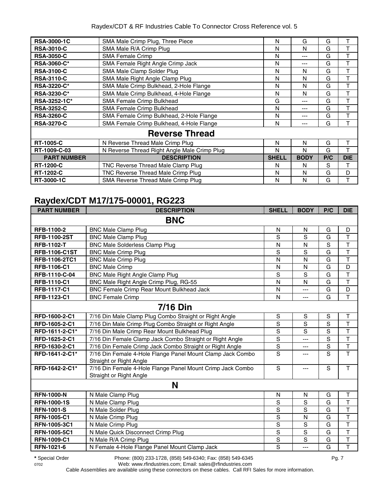#### Raydex/CDT & RF Industries Cable To Connector Cross Reference vol. 5

| <b>RSA-3000-1C</b> | SMA Male Crimp Plug, Three Piece             | N            | G           | G   | т          |
|--------------------|----------------------------------------------|--------------|-------------|-----|------------|
| <b>RSA-3010-C</b>  | SMA Male R/A Crimp Plug                      | N            | N           | G   |            |
| <b>RSA-3050-C</b>  | <b>SMA Female Crimp</b>                      | N            | $- - -$     | G   | т          |
| <b>RSA-3060-C*</b> | SMA Female Right Angle Crimp Jack            | N            | ---         | G   |            |
| <b>RSA-3100-C</b>  | SMA Male Clamp Solder Plug                   | N            | N           | G   | т          |
| <b>RSA-3110-C</b>  | SMA Male Right Angle Clamp Plug              | Ν            | N           | G   |            |
| <b>RSA-3220-C*</b> | SMA Male Crimp Bulkhead, 2-Hole Flange       | N            | N           | G   | т          |
| <b>RSA-3230-C*</b> | SMA Male Crimp Bulkhead, 4-Hole Flange       | N            | N           | G   | т          |
| RSA-3252-1C*       | SMA Female Crimp Bulkhead                    | G            | ---         | G   | т          |
| <b>RSA-3252-C</b>  | SMA Female Crimp Bulkhead                    | N            | ---         | G   | т          |
| <b>RSA-3260-C</b>  | SMA Female Crimp Bulkhead, 2-Hole Flange     | N            | ---         | G   | т          |
| <b>RSA-3270-C</b>  | SMA Female Crimp Bulkhead, 4-Hole Flange     | N            | ---         | G   |            |
|                    | <b>Reverse Thread</b>                        |              |             |     |            |
| <b>RT-1005-C</b>   | N Reverse Thread Male Crimp Plug             | N            | N           | G   |            |
| RT-1009-C-03       | N Reverse Thread Right Angle Male Crimp Plug | N            | N           | G   |            |
| <b>PART NUMBER</b> | <b>DESCRIPTION</b>                           | <b>SHELL</b> | <b>BODY</b> | P/C | <b>DIE</b> |
| <b>RT-1200-C</b>   | TNC Reverse Thread Male Clamp Plug           | N            | N           | S   | т          |
| <b>RT-1202-C</b>   | TNC Reverse Thread Male Crimp Plug           | N            | N           | G   | D          |
| RT-3000-1C         | SMA Reverse Thread Male Crimp Plug           | N            | N           | G   |            |

#### **Raydex/CDT M17/175-00001, RG223**

| <b>PART NUMBER</b>   | <b>DESCRIPTION</b>                                                                    | <b>SHELL</b>   | <b>BODY</b>    | P/C            | <b>DIE</b>              |
|----------------------|---------------------------------------------------------------------------------------|----------------|----------------|----------------|-------------------------|
|                      | <b>BNC</b>                                                                            |                |                |                |                         |
| RFB-1100-2           | <b>BNC Male Clamp Plug</b>                                                            | N              | N              | G              | D                       |
| <b>RFB-1100-2ST</b>  | <b>BNC Male Clamp Plug</b>                                                            | S              | S              | G              | $\overline{\mathsf{T}}$ |
| <b>RFB-1102-T</b>    | <b>BNC Male Solderless Clamp Plug</b>                                                 | N              | N              | $\overline{s}$ | $\overline{\mathsf{T}}$ |
| <b>RFB-1106-C1ST</b> | <b>BNC Male Crimp Plug</b>                                                            | S              | S              | G              | $\overline{\mathsf{T}}$ |
| <b>RFB-1106-2TC1</b> | <b>BNC Male Crimp Plug</b>                                                            | N              | N              | G              | $\overline{\mathsf{T}}$ |
| <b>RFB-1106-C1</b>   | <b>BNC Male Crimp</b>                                                                 | N              | N              | G              | D                       |
| RFB-1110-C-04        | <b>BNC Male Right Angle Clamp Plug</b>                                                | S              | S              | G              | $\overline{\mathsf{T}}$ |
| <b>RFB-1110-C1</b>   | BNC Male Right Angle Crimp Plug, RG-55                                                | N              | N              | G              | $\overline{\mathsf{T}}$ |
| <b>RFB-1117-C1</b>   | <b>BNC Female Crimp Rear Mount Bulkhead Jack</b>                                      | N              | ---            | G              | D                       |
| RFB-1123-C1          | <b>BNC Female Crimp</b>                                                               | $\mathsf{N}$   | ---            | G              | $\mathsf{T}$            |
|                      | <b>7/16 Din</b>                                                                       |                |                |                |                         |
| RFD-1600-2-C1        | 7/16 Din Male Clamp Plug Combo Straight or Right Angle                                | $\mathbf S$    | $\mathbf S$    | $\mathbb S$    | Τ                       |
| RFD-1605-2-C1        | 7/16 Din Male Crimp Plug Combo Straight or Right Angle                                | S              | $\overline{s}$ | $\overline{s}$ | $\mathsf T$             |
| RFD-1611-2-C1*       | 7/16 Din Male Crimp Rear Mount Bulkhead Plug                                          | $\mathbf S$    | S              | S              | $\mathsf T$             |
| RFD-1625-2-C1        | 7/16 Din Female Clamp Jack Combo Straight or Right Angle                              | $\mathbf S$    | ---            | S              | $\overline{\mathsf{T}}$ |
| RFD-1630-2-C1        | 7/16 Din Female Crimp Jack Combo Straight or Right Angle                              | $\mathbf S$    | ---            | S              | $\overline{\mathsf{T}}$ |
| RFD-1641-2-C1*       | 7/16 Din Female 4-Hole Flange Panel Mount Clamp Jack Combo<br>Straight or Right Angle | S              | ---            | S              | T.                      |
| RFD-1642-2-C1*       | 7/16 Din Female 4-Hole Flange Panel Mount Crimp Jack Combo<br>Straight or Right Angle | $\mathbf S$    | ---            | S              | $\mathsf{T}$            |
|                      | N                                                                                     |                |                |                |                         |
| <b>RFN-1000-N</b>    | N Male Clamp Plug                                                                     | N              | N              | G              | $\sf T$                 |
| <b>RFN-1000-1S</b>   | N Male Clamp Plug                                                                     | S              | S              | G              | $\overline{\mathsf{T}}$ |
| <b>RFN-1001-S</b>    | N Male Solder Plug                                                                    | S              | S              | G              | $\overline{\mathsf{T}}$ |
| <b>RFN-1005-C1</b>   | N Male Crimp Plug                                                                     | S              | N              | G              | $\overline{\mathsf{T}}$ |
| RFN-1005-3C1         | N Male Crimp Plug                                                                     | S              | S              | G              | $\overline{\mathsf{T}}$ |
| <b>RFN-1005-5C1</b>  | N Male Quick Disconnect Crimp Plug                                                    | S              | S              | G              | $\mathsf T$             |
| <b>RFN-1009-C1</b>   | N Male R/A Crimp Plug                                                                 | $\mathsf S$    | $\overline{s}$ | G              | T                       |
| <b>RFN-1021-6</b>    | N Female 4-Hole Flange Panel Mount Clamp Jack                                         | $\overline{s}$ | ---            | G              | T                       |

**\*** Special Order Phone: (800) 233-1728, (858) 549-6340; Fax: (858) 549-6345 Pg. 7

0702 Web: www.rfindustries.com; Email: sales@rfindustries.com Cable Assemblies are available using these connectors on these cables. Call RFI Sales for more information.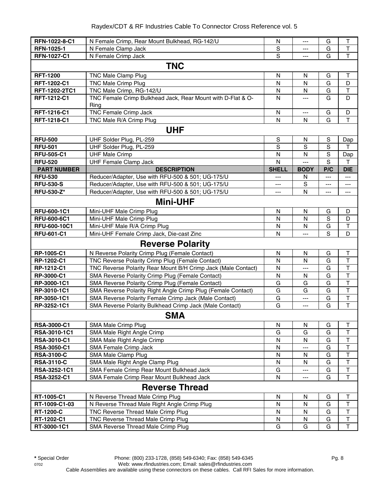| RFN-1022-8-C1      | N Female Crimp, Rear Mount Bulkhead, RG-142/U                       | N              | ---            | G           | Τ                            |
|--------------------|---------------------------------------------------------------------|----------------|----------------|-------------|------------------------------|
| <b>RFN-1025-1</b>  | N Female Clamp Jack                                                 | S              | ---            | G           | $\top$                       |
| RFN-1027-C1        | N Female Crimp Jack                                                 | $\overline{s}$ | $\overline{a}$ | G           | $\overline{\mathsf{T}}$      |
|                    | <b>TNC</b>                                                          |                |                |             |                              |
| <b>RFT-1200</b>    | TNC Male Clamp Plug                                                 | N              | $\mathsf{N}$   | G           | $\top$                       |
| <b>RFT-1202-C1</b> | <b>TNC Male Crimp Plug</b>                                          | $\mathsf{N}$   | N              | G           | D                            |
| RFT-1202-2TC1      | TNC Male Crimp, RG-142/U                                            | N              | N              | G           | $\top$                       |
| RFT-1212-C1        | TNC Female Crimp Bulkhead Jack, Rear Mount with D-Flat & O-<br>Ring | N              | $\overline{a}$ | G           | D                            |
| RFT-1216-C1        | <b>TNC Female Crimp Jack</b>                                        | N              | $\cdots$       | G           | D                            |
| RFT-1218-C1        | TNC Male R/A Crimp Plug                                             | $\mathsf{N}$   | N              | G           | T                            |
|                    | <b>UHF</b>                                                          |                |                |             |                              |
| <b>RFU-500</b>     | UHF Solder Plug, PL-259                                             | S              | N              | S           | Dap                          |
| <b>RFU-501</b>     | UHF Solder Plug, PL-259                                             | S              | S              | $\mathbf S$ | T                            |
| <b>RFU-505-C1</b>  | <b>UHF Male Crimp</b>                                               | N              | $\mathsf{N}$   | S           | Dap                          |
| <b>RFU-520</b>     | <b>UHF Female Clamp Jack</b>                                        | $\mathsf{N}$   | $\overline{a}$ | S           | Т                            |
| <b>PART NUMBER</b> | <b>DESCRIPTION</b>                                                  | <b>SHELL</b>   | <b>BODY</b>    | P/C         | <b>DIE</b>                   |
| <b>RFU-530</b>     | Reducer/Adapter, Use with RFU-500 & 501; UG-175/U                   | ---            | N              | $---$       | $\qquad \qquad - -$          |
| <b>RFU-530-S</b>   | Reducer/Adapter, Use with RFU-500 & 501; UG-175/U                   | $\cdots$       | S              | ---         | $\overline{\phantom{a}}$     |
| <b>RFU-530-Z*</b>  | Reducer/Adapter, Use with RFU-500 & 501; UG-175/U                   | ---            | N              | ---         | $\qquad \qquad \cdots$       |
|                    | <b>Mini-UHF</b>                                                     |                |                |             |                              |
| RFU-600-1C1        | Mini-UHF Male Crimp Plug                                            | N              | N              | G           | D                            |
| <b>RFU-600-6C1</b> | Mini-UHF Male Crimp Plug                                            | N              | $\mathsf{N}$   | S           | D                            |
| RFU-600-10C1       | Mini-UHF Male R/A Crimp Plug                                        | N              | N              | G           | $\top$                       |
| <b>RFU-601-C1</b>  | Mini-UHF Female Crimp Jack, Die-cast Zinc                           | N              | ---            | S           | D                            |
|                    | <b>Reverse Polarity</b>                                             |                |                |             |                              |
| RP-1005-C1         | N Reverse Polarity Crimp Plug (Female Contact)                      | N              | N              | G           | Τ                            |
| RP-1202-C1         | TNC Reverse Polarity Crimp Plug (Female Contact)                    | N              | N              | G           | $\top$                       |
| RP-1212-C1         | TNC Reverse Polarity Rear Mount B/H Crimp Jack (Male Contact)       | N              | $---$          | G           | $\top$                       |
| RP-3000-C1         | SMA Reverse Polarity Crimp Plug (Female Contact)                    | N              | N              | G           | $\top$                       |
| RP-3000-1C1        | SMA Reverse Polarity Crimp Plug (Female Contact)                    | G              | G              | G           | $\mathsf T$                  |
| RP-3010-1C1        | SMA Reverse Polarity Right Angle Crimp Plug (Female Contact)        | G              | G              | G           | $\top$                       |
| RP-3050-1C1        | SMA Reverse Polarity Female Crimp Jack (Male Contact)               | G              | ---            | G           | $\overline{\mathsf{T}}$      |
| RP-3252-1C1        | SMA Reverse Polarity Bulkhead Crimp Jack (Male Contact)             | G              | $\overline{a}$ | G           | $\overline{1}$               |
|                    | <b>SMA</b>                                                          |                |                |             |                              |
| RSA-3000-C1        | SMA Male Crimp Plug                                                 | N              | N              | G           | Τ                            |
| RSA-3010-1C1       | SMA Male Right Angle Crimp                                          | G              | G              | G           | T                            |
| <b>RSA-3010-C1</b> | SMA Male Right Angle Crimp                                          | N              | N              | G           | $\mathsf T$                  |
| <b>RSA-3050-C1</b> | SMA Female Crimp Jack                                               | N              | ---            | G           | $\top$                       |
| <b>RSA-3100-C</b>  | SMA Male Clamp Plug                                                 | N              | N              | G           | $\mathsf T$                  |
| <b>RSA-3110-C</b>  | SMA Male Right Angle Clamp Plug                                     | ${\sf N}$      | N              | G           | $\overline{\mathsf{T}}$      |
| RSA-3252-1C1       | SMA Female Crimp Rear Mount Bulkhead Jack                           | G<br>N         | ---            | G           | $\overline{\mathsf{T}}$<br>T |
| RSA-3252-C1        | SMA Female Crimp Rear Mount Bulkhead Jack                           |                | ---            | G           |                              |
|                    | <b>Reverse Thread</b>                                               |                |                |             |                              |
| RT-1005-C1         | N Reverse Thread Male Crimp Plug                                    | N              | N              | G           | Τ                            |
| RT-1009-C1-03      | N Reverse Thread Male Right Angle Crimp Plug                        | ${\sf N}$      | ${\sf N}$      | G           | $\top$                       |
| <b>RT-1200-C</b>   | TNC Reverse Thread Male Crimp Plug                                  | N              | N              | G           | $\mathsf T$                  |
| RT-1202-C1         | TNC Reverse Thread Male Crimp Plug                                  | $\mathsf{N}$   | $\mathsf{N}$   | G           | $\mathsf T$                  |
| RT-3000-1C1        | SMA Reverse Thread Male Crimp Plug                                  | G              | G              | G           | T                            |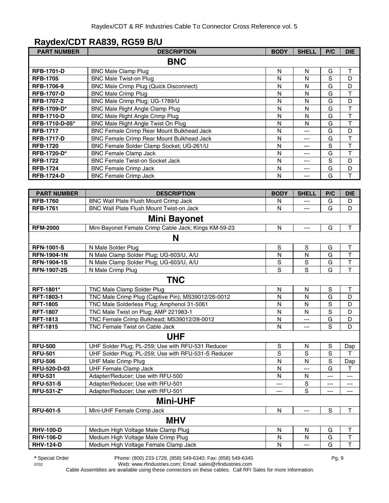#### **Raydex/CDT RA839, RG59 B/U**

| <b>PART NUMBER</b>                 | <b>DESCRIPTION</b>                                                                 | <b>BODY</b>       | <b>SHELL</b>   | P/C                | <b>DIE</b>              |
|------------------------------------|------------------------------------------------------------------------------------|-------------------|----------------|--------------------|-------------------------|
|                                    | <b>BNC</b>                                                                         |                   |                |                    |                         |
| <b>RFB-1701-D</b>                  | <b>BNC Male Clamp Plug</b>                                                         | N                 | N              | G                  | Т                       |
| <b>RFB-1705</b>                    | <b>BNC Male Twist-on Plug</b>                                                      | N                 | $\mathsf{N}$   | S                  | D                       |
| RFB-1706-9                         | <b>BNC Male Crimp Plug (Quick Disconnect)</b>                                      | N                 | N              | G                  | D                       |
| <b>RFB-1707-D</b>                  | <b>BNC Male Crimp Plug</b>                                                         | N                 | $\mathsf{N}$   | G                  | T                       |
| RFB-1707-2                         | BNC Male Crimp Plug; UG-1789/U                                                     | $\mathsf{N}$      | N              | G                  | D                       |
| RFB-1709-D*                        | <b>BNC Male Right Angle Clamp Plug</b>                                             | $\mathsf{N}$      | N              | G                  | T                       |
| <b>RFB-1710-D</b>                  | <b>BNC Male Right Angle Crimp Plug</b>                                             | $\mathsf{N}$      | $\mathsf{N}$   | G                  | T                       |
| RFB-1710-D-05*                     | BNC Male Right Angle Twist On Plug                                                 | N                 | $\mathsf{N}$   | G                  | T                       |
| <b>RFB-1717</b>                    | <b>BNC Female Crimp Rear Mount Bulkhead Jack</b>                                   | ${\sf N}$         | $\overline{a}$ | G                  | D                       |
| <b>RFB-1717-D</b>                  | BNC Female Crimp Rear Mount Bulkhead Jack                                          | N                 | ---            | G                  | $\top$                  |
| <b>RFB-1720</b>                    | BNC Female Solder Clamp Socket; UG-261/U                                           | N                 | ---            | S                  | $\top$                  |
| RFB-1720-D*                        | <b>BNC Female Clamp Jack</b>                                                       | N                 | ---            | G                  | T                       |
| <b>RFB-1722</b>                    | <b>BNC Female Twist-on Socket Jack</b>                                             | N                 | ---            | S                  | D                       |
| <b>RFB-1724</b>                    | <b>BNC Female Crimp Jack</b>                                                       | N                 | ---            | G                  | D                       |
| <b>RFB-1724-D</b>                  | <b>BNC Female Crimp Jack</b>                                                       | N                 | ---            | G                  | T                       |
|                                    |                                                                                    |                   |                |                    |                         |
| <b>PART NUMBER</b>                 | <b>DESCRIPTION</b>                                                                 | <b>BODY</b>       | <b>SHELL</b>   | P/C                | <b>DIE</b>              |
| <b>RFB-1760</b>                    | BNC Wall Plate Flush Mount Crimp Jack                                              | N                 |                | G                  | D                       |
| <b>RFB-1761</b>                    | <b>BNC Wall Plate Flush Mount Twist-on Jack</b>                                    | N                 | ---            | G                  | D                       |
|                                    |                                                                                    |                   |                |                    |                         |
|                                    | <b>Mini Bayonet</b>                                                                |                   |                |                    |                         |
| <b>RFM-2000</b>                    | Mini-Bayonet Female Crimp Cable Jack; Kings KM-59-23                               | N                 | ---            | G                  | T                       |
|                                    | N                                                                                  |                   |                |                    |                         |
| <b>RFN-1001-S</b>                  | N Male Solder Plug                                                                 | $\mathbb S$       | S              | G                  | $\mathsf T$             |
| <b>RFN-1904-1N</b>                 | N Male Clamp Solder Plug; UG-603/U, A/U                                            | N                 | N              | G                  | $\overline{\mathsf{T}}$ |
| <b>RFN-1904-1S</b>                 | N Male Clamp Solder Plug; UG-603/U, A/U                                            | S                 | $\mathbf S$    | G                  | $\overline{\mathsf{T}}$ |
| <b>RFN-1907-2S</b>                 | N Male Crimp Plug                                                                  | S                 | S              | G                  | T                       |
|                                    | <b>TNC</b>                                                                         |                   |                |                    |                         |
|                                    |                                                                                    |                   |                |                    |                         |
| RFT-1801*                          | TNC Male Clamp Solder Plug                                                         | N                 | ${\sf N}$      | ${\mathbb S}$<br>G | Τ                       |
| RFT-1803-1                         | TNC Male Crimp Plug (Captive Pin); MS39012/26-0012                                 | N                 | N              |                    | D                       |
| <b>RFT-1805</b><br><b>RFT-1807</b> | TNC Male Solderless Plug; Amphenol 31-5061                                         | N                 | $\mathsf{N}$   | S<br>$\mathbf S$   | D                       |
| <b>RFT-1813</b>                    | TNC Male Twist on Plug; AMP 221983-1<br>TNC Female Crimp Bulkhead; MS39012/28-0012 | N<br>$\mathsf{N}$ | N              | G                  | D<br>D                  |
| <b>RFT-1815</b>                    | TNC Female Twist on Cable Jack                                                     | N                 | ---<br>$---$   | S                  | D                       |
|                                    |                                                                                    |                   |                |                    |                         |
|                                    | <b>UHF</b>                                                                         |                   |                |                    |                         |
| <b>RFU-500</b>                     | UHF Solder Plug; PL-259; Use with RFU-531 Reducer                                  | ${\mathsf S}$     | N              | $\mathbf S$        | Dap                     |
| <b>RFU-501</b>                     | UHF Solder Plug; PL-259; Use with RFU-531-S Reducer                                | S                 | S              | $\mathbf S$        | т                       |
| <b>RFU-506</b>                     | <b>UHF Male Crimp Plug</b>                                                         | N                 | $\mathsf{N}$   | S                  | Dap                     |
| RFU-520-D-03                       | <b>UHF Female Clamp Jack</b>                                                       | N                 | ---            | G                  | T.                      |
| <b>RFU-531</b>                     | Adapter/Reducer; Use with RFU-500                                                  | N                 | N              | ---                | ---                     |
| <b>RFU-531-S</b>                   | Adapter/Reducer; Use with RFU-501                                                  | ---               | $\mathbf S$    | ---                | ---                     |
| RFU-531-Z*                         | Adapter/Reducer; Use with RFU-501                                                  | $---$             | S              | ---                | ---                     |
|                                    | <b>Mini-UHF</b>                                                                    |                   |                |                    |                         |
| <b>RFU-601-5</b>                   | Mini-UHF Female Crimp Jack                                                         | ${\sf N}$         | $---$          | $\mathbf S$        | $\mathsf T$             |
|                                    | <b>MHV</b>                                                                         |                   |                |                    |                         |
|                                    |                                                                                    |                   |                |                    |                         |
| <b>RHV-100-D</b>                   | Medium High Voltage Male Clamp Plug                                                | N                 | N              | G                  | Т                       |
| <b>RHV-106-D</b>                   | Medium High Voltage Male Crimp Plug                                                | N                 | N              | G                  | $\overline{\mathsf{T}}$ |
| <b>RHV-124-D</b>                   | Medium High Voltage Female Clamp Jack                                              | N                 | ---            | G                  | $\top$                  |

0702 Web: www.rfindustries.com; Email: sales@rfindustries.com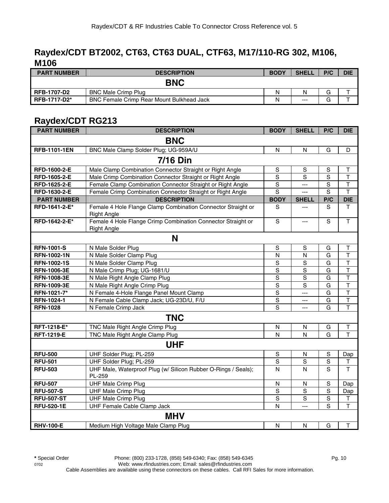#### **Raydex/CDT BT2002, CT63, CT63 DUAL, CTF63, M17/110-RG 302, M106, M106**

| <b>PART NUMBER</b>  | <b>DESCRIPTION</b>                               | <b>BODY</b> | <b>SHELL</b> | P/C | <b>DIE</b> |
|---------------------|--------------------------------------------------|-------------|--------------|-----|------------|
|                     | <b>BNC</b>                                       |             |              |     |            |
| <b>RFB-1707-D2</b>  | <b>BNC Male Crimp Plug</b>                       | N           | N            | G   |            |
| <b>RFB-1717-D2*</b> | <b>BNC Female Crimp Rear Mount Bulkhead Jack</b> | Ν           | $---$        | G   |            |

#### **Raydex/CDT RG213**

| <b>PART NUMBER</b>  | <b>DESCRIPTION</b>                                                                 | <b>BODY</b>    | <b>SHELL</b>   | P/C            | <b>DIE</b>              |  |  |  |  |
|---------------------|------------------------------------------------------------------------------------|----------------|----------------|----------------|-------------------------|--|--|--|--|
| <b>BNC</b>          |                                                                                    |                |                |                |                         |  |  |  |  |
| <b>RFB-1101-1EN</b> | BNC Male Clamp Solder Plug; UG-959A/U                                              | N              | N              | G              | D                       |  |  |  |  |
| <b>7/16 Din</b>     |                                                                                    |                |                |                |                         |  |  |  |  |
| RFD-1600-2-E        | Male Clamp Combination Connector Straight or Right Angle                           | S              | S              | S              | Τ                       |  |  |  |  |
| RFD-1605-2-E        | Male Crimp Combination Connector Straight or Right Angle                           | S              | S              | $\overline{s}$ | T                       |  |  |  |  |
| RFD-1625-2-E        | Female Clamp Combination Connector Straight or Right Angle                         | $\mathbf S$    | ---            | S              | $\overline{\mathsf{T}}$ |  |  |  |  |
| RFD-1630-2-E        | Female Crimp Combination Connector Straight or Right Angle                         | $\overline{s}$ | $\overline{a}$ | $\overline{s}$ | $\overline{\mathsf{T}}$ |  |  |  |  |
| <b>PART NUMBER</b>  | <b>DESCRIPTION</b>                                                                 | <b>BODY</b>    | <b>SHELL</b>   | P/C            | <b>DIE</b>              |  |  |  |  |
| RFD-1641-2-E*       | Female 4 Hole Flange Clamp Combination Connector Straight or<br><b>Right Angle</b> | S              | $---$          | S              | T.                      |  |  |  |  |
| RFD-1642-2-E*       | Female 4 Hole Flange Crimp Combination Connector Straight or<br><b>Right Angle</b> | $\mathbf S$    | $\overline{a}$ | S              | T                       |  |  |  |  |
|                     | N                                                                                  |                |                |                |                         |  |  |  |  |
| <b>RFN-1001-S</b>   | N Male Solder Plug                                                                 | S              | S              | G              | Τ                       |  |  |  |  |
| <b>RFN-1002-1N</b>  | N Male Solder Clamp Plug                                                           | $\overline{N}$ | N              | G              | $\overline{\mathsf{T}}$ |  |  |  |  |
| <b>RFN-1002-1S</b>  | N Male Solder Clamp Plug                                                           | $\mathsf S$    | S              | G              | $\overline{\mathsf{T}}$ |  |  |  |  |
| <b>RFN-1006-3E</b>  | N Male Crimp Plug; UG-1681/U                                                       | $\mathsf S$    | $\mathbf S$    | G              | $\overline{\mathsf{T}}$ |  |  |  |  |
| <b>RFN-1008-3E</b>  | N Male Right Angle Clamp Plug                                                      | $\mathbf S$    | S              | G              | $\overline{\mathsf{T}}$ |  |  |  |  |
| <b>RFN-1009-3E</b>  | N Male Right Angle Crimp Plug                                                      | $\overline{s}$ | $\overline{s}$ | $\overline{G}$ | $\overline{\mathsf{T}}$ |  |  |  |  |
| RFN-1021-7*         | N Female 4-Hole Flange Panel Mount Clamp                                           | $\overline{s}$ | $\overline{a}$ | G              | T                       |  |  |  |  |
| RFN-1024-1          | N Female Cable Clamp Jack; UG-23D/U, F/U                                           | S              | ---            | G              | $\overline{\mathsf{T}}$ |  |  |  |  |
| <b>RFN-1028</b>     | N Female Crimp Jack                                                                | $\overline{s}$ | $\overline{a}$ | G              | $\overline{\mathsf{T}}$ |  |  |  |  |
|                     | <b>TNC</b>                                                                         |                |                |                |                         |  |  |  |  |
| RFT-1218-E*         | TNC Male Right Angle Crimp Plug                                                    | N              | N              | G              | T                       |  |  |  |  |
| <b>RFT-1219-E</b>   | TNC Male Right Angle Clamp Plug                                                    | $\mathsf{N}$   | N              | G              | $\overline{\mathsf{T}}$ |  |  |  |  |
|                     | <b>UHF</b>                                                                         |                |                |                |                         |  |  |  |  |
| <b>RFU-500</b>      | UHF Solder Plug; PL-259                                                            | S              | ${\sf N}$      | S              | Dap                     |  |  |  |  |
| <b>RFU-501</b>      | UHF Solder Plug; PL-259                                                            | $\overline{s}$ | $\overline{s}$ | $\overline{s}$ | T                       |  |  |  |  |
| <b>RFU-503</b>      | UHF Male, Waterproof Plug (w/ Silicon Rubber O-Rings / Seals);<br>PL-259           | $\overline{N}$ | $\mathsf{N}$   | $\overline{s}$ | $\overline{\mathsf{T}}$ |  |  |  |  |
| <b>RFU-507</b>      | <b>UHF Male Crimp Plug</b>                                                         | N              | N              | S              | Dap                     |  |  |  |  |
| <b>RFU-507-S</b>    | <b>UHF Male Crimp Plug</b>                                                         | S              | S              | S              | Dap                     |  |  |  |  |
| <b>RFU-507-ST</b>   | <b>UHF Male Crimp Plug</b>                                                         | $\overline{s}$ | $\overline{s}$ | $\overline{s}$ | $\top$                  |  |  |  |  |
| <b>RFU-520-1E</b>   | UHF Female Cable Clamp Jack                                                        | N              | ---            | S              | T                       |  |  |  |  |
|                     | <b>MHV</b>                                                                         |                |                |                |                         |  |  |  |  |
| <b>RHV-100-E</b>    | Medium High Voltage Male Clamp Plug                                                | N              | $\mathsf{N}$   | G              | $\mathsf T$             |  |  |  |  |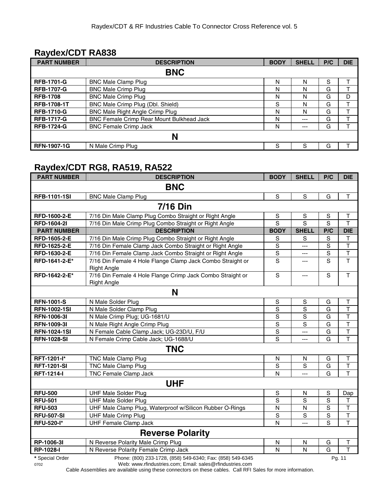#### **Raydex/CDT RA838**

| <b>PART NUMBER</b> | <b>DESCRIPTION</b>                        | <b>BODY</b> | <b>SHELL</b> | P/C | <b>DIE</b> |  |  |  |
|--------------------|-------------------------------------------|-------------|--------------|-----|------------|--|--|--|
|                    | <b>BNC</b>                                |             |              |     |            |  |  |  |
| <b>RFB-1701-G</b>  | <b>BNC Male Clamp Plug</b>                | N           | N            | S   |            |  |  |  |
| <b>RFB-1707-G</b>  | <b>BNC Male Crimp Plug</b>                | N           | N            | G   |            |  |  |  |
| <b>RFB-1708</b>    | <b>BNC Male Crimp Plug</b>                | N           | N            | G   | D          |  |  |  |
| <b>RFB-1708-1T</b> | BNC Male Crimp Plug (Dbl. Shield)         | S           | N            | G   |            |  |  |  |
| <b>RFB-1710-G</b>  | BNC Male Right Angle Crimp Plug           | N           | N            | G   |            |  |  |  |
| <b>RFB-1717-G</b>  | BNC Female Crimp Rear Mount Bulkhead Jack | N           | $---$        | G   |            |  |  |  |
| <b>RFB-1724-G</b>  | <b>BNC Female Crimp Jack</b>              | N           | $---$        | G   |            |  |  |  |
| N                  |                                           |             |              |     |            |  |  |  |
| <b>RFN-1907-1G</b> | N Male Crimp Plug                         | S           | S            | G   |            |  |  |  |

#### **Raydex/CDT RG8, RA519, RA522**

| <b>PART NUMBER</b>  | <b>DESCRIPTION</b>                                                               | <b>BODY</b>             | <b>SHELL</b>   | P/C            | <b>DIE</b>              |  |  |  |  |
|---------------------|----------------------------------------------------------------------------------|-------------------------|----------------|----------------|-------------------------|--|--|--|--|
| <b>BNC</b>          |                                                                                  |                         |                |                |                         |  |  |  |  |
| <b>RFB-1101-1SI</b> | <b>BNC Male Clamp Plug</b>                                                       | S                       | $\mathbf S$    | G              | T                       |  |  |  |  |
| <b>7/16 Din</b>     |                                                                                  |                         |                |                |                         |  |  |  |  |
| RFD-1600-2-E        | 7/16 Din Male Clamp Plug Combo Straight or Right Angle                           | $\mathbf S$             | $\mathbf S$    | $\mathsf S$    | Τ                       |  |  |  |  |
| <b>RFD-1604-2I</b>  | 7/16 Din Male Crimp Plug Combo Straight or Right Angle                           | S                       | $\overline{s}$ | $\overline{s}$ | $\overline{\mathsf{T}}$ |  |  |  |  |
| <b>PART NUMBER</b>  | <b>DESCRIPTION</b>                                                               | <b>BODY</b>             | <b>SHELL</b>   | P/C            | <b>DIE</b>              |  |  |  |  |
| RFD-1605-2-E        | 7/16 Din Male Crimp Plug Combo Straight or Right Angle                           | S                       | S              | $\mathbb S$    | Τ                       |  |  |  |  |
| RFD-1625-2-E        | 7/16 Din Female Clamp Jack Combo Straight or Right Angle                         | S                       | ---            | $\mathsf S$    | $\overline{\mathsf{T}}$ |  |  |  |  |
| RFD-1630-2-E        | 7/16 Din Female Clamp Jack Combo Straight or Right Angle                         | $\mathbf S$             | ---            | $\mathbf S$    | $\overline{\mathsf{T}}$ |  |  |  |  |
| RFD-1641-2-E*       | 7/16 Din Female 4 Hole Flange Clamp Jack Combo Straight or<br><b>Right Angle</b> | S                       | ---            | S              | $\overline{\mathsf{T}}$ |  |  |  |  |
| RFD-1642-2-E*       | 7/16 Din Female 4 Hole Flange Crimp Jack Combo Straight or<br><b>Right Angle</b> | S                       | $\overline{a}$ | $\mathsf{s}$   | T                       |  |  |  |  |
|                     | N                                                                                |                         |                |                |                         |  |  |  |  |
| <b>RFN-1001-S</b>   | N Male Solder Plug                                                               | ${\mathsf S}$           | $\mathbf S$    | G              | $\mathsf T$             |  |  |  |  |
| <b>RFN-1002-1SI</b> | N Male Solder Clamp Plug                                                         | $\mathbf S$             | $\mathbf S$    | G              | $\overline{\mathsf{T}}$ |  |  |  |  |
| <b>RFN-1006-31</b>  | N Male Crimp Plug; UG-1681/U                                                     | $\mathbf S$             | S              | G              | T                       |  |  |  |  |
| <b>RFN-1009-31</b>  | N Male Right Angle Crimp Plug                                                    | $\mathbf S$             | S              | G              | $\mathsf T$             |  |  |  |  |
| <b>RFN-1024-1SI</b> | N Female Cable Clamp Jack; UG-23D/U, F/U                                         | $\overline{s}$          | $\overline{a}$ | G              | $\top$                  |  |  |  |  |
| <b>RFN-1028-SI</b>  | N Female Crimp Cable Jack; UG-1688/U                                             | S                       |                | G              | T                       |  |  |  |  |
|                     | <b>TNC</b>                                                                       |                         |                |                |                         |  |  |  |  |
| RFT-1201-l*         | TNC Male Clamp Plug                                                              | N                       | N              | G              | $\mathsf T$             |  |  |  |  |
| <b>RFT-1201-SI</b>  | <b>TNC Male Clamp Plug</b>                                                       | S                       | S              | G              | T                       |  |  |  |  |
| <b>RFT-1214-I</b>   | TNC Female Clamp Jack                                                            | N                       | ---            | G              | T                       |  |  |  |  |
|                     | <b>UHF</b>                                                                       |                         |                |                |                         |  |  |  |  |
| <b>RFU-500</b>      | <b>UHF Male Solder Plug</b>                                                      | $\mathbf S$             | N              | $\mathbf S$    | Dap                     |  |  |  |  |
| <b>RFU-501</b>      | <b>UHF Male Solder Plug</b>                                                      | S                       | S              | $\overline{s}$ | $\mathsf T$             |  |  |  |  |
| <b>RFU-503</b>      | UHF Male Clamp Plug, Waterproof w/Silicon Rubber O-Rings                         | $\overline{\mathsf{N}}$ | $\mathsf{N}$   | $\overline{S}$ | $\overline{\mathsf{T}}$ |  |  |  |  |
| <b>RFU-507-SI</b>   | <b>UHF Male Crimp Plug</b>                                                       | $\mathbf S$             | S              | $\overline{s}$ | $\overline{\mathsf{T}}$ |  |  |  |  |
| <b>RFU-520-I*</b>   | <b>UHF Female Clamp Jack</b>                                                     | N                       | $---$          | S              | $\overline{1}$          |  |  |  |  |
|                     | <b>Reverse Polarity</b>                                                          |                         |                |                |                         |  |  |  |  |
| RP-1006-3I          | N Reverse Polarity Male Crimp Plug                                               | N                       | N              | G              | Τ                       |  |  |  |  |
| RP-1028-I           | N Reverse Polarity Female Crimp Jack                                             | N                       | N              | G              | T                       |  |  |  |  |
| * Special Order     | Phone: (800) 233-1728, (858) 549-6340; Fax: (858) 549-6345                       |                         |                |                | Pa. 11                  |  |  |  |  |

0702 Web: www.rfindustries.com; Email: sales@rfindustries.com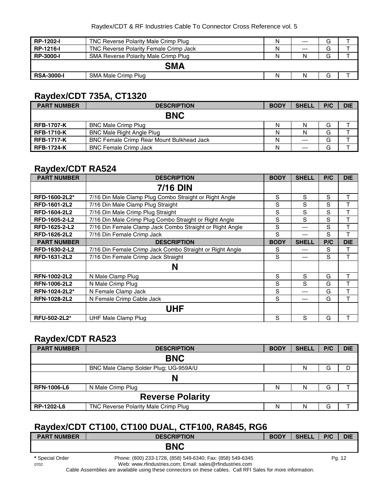| <b>RP-1202-I</b>  | TNC Reverse Polarity Male Crimp Plug          | N | $---$ | G |  |  |  |  |  |
|-------------------|-----------------------------------------------|---|-------|---|--|--|--|--|--|
| RP-1216-I         | <b>TNC Reverse Polarity Female Crimp Jack</b> | N | $---$ | G |  |  |  |  |  |
| <b>RP-3000-I</b>  | SMA Reverse Polarity Male Crimp Plug          | N |       | G |  |  |  |  |  |
|                   | <b>SMA</b>                                    |   |       |   |  |  |  |  |  |
| <b>RSA-3000-I</b> | SMA Male Crimp Plug                           | N |       | G |  |  |  |  |  |

## **Raydex/CDT 735A, CT1320**

| <b>PART NUMBER</b> | <b>DESCRIPTION</b>                               | <b>BODY</b> | <b>SHELL</b> | P/C | <b>DIE</b> |
|--------------------|--------------------------------------------------|-------------|--------------|-----|------------|
|                    | <b>BNC</b>                                       |             |              |     |            |
| <b>RFB-1707-K</b>  | <b>BNC Male Crimp Plug</b>                       | N           |              | G   |            |
| <b>RFB-1710-K</b>  | <b>BNC Male Right Angle Plug</b>                 | N           |              | G   |            |
| <b>RFB-1717-K</b>  | <b>BNC Female Crimp Rear Mount Bulkhead Jack</b> | N           | $---$        | G   |            |
| <b>RFB-1724-K</b>  | <b>BNC Female Crimp Jack</b>                     | N           | $---$        | G   |            |

## **Raydex/CDT RA524**

| <b>PART NUMBER</b>  | <b>DESCRIPTION</b>                                       | <b>BODY</b> | <b>SHELL</b> | P/C | <b>DIE</b> |
|---------------------|----------------------------------------------------------|-------------|--------------|-----|------------|
|                     | <b>7/16 DIN</b>                                          |             |              |     |            |
| RFD-1600-2L2*       | 7/16 Din Male Clamp Plug Combo Straight or Right Angle   | S           | S            | S   | т          |
| RFD-1601-2L2        | 7/16 Din Male Clamp Plug Straight                        | S           | S            | S   | т          |
| RFD-1604-2L2        | 7/16 Din Male Crimp Plug Straight                        | S           | S            | S   | T          |
| RFD-1605-2-L2       | 7/16 Din Male Crimp Plug Combo Straight or Right Angle   | S           | S            | S   | T          |
| RFD-1625-2-L2       | 7/16 Din Female Clamp Jack Combo Straight or Right Angle | S           | ---          | S   | т          |
| RFD-1626-2L2        | 7/16 Din Female Crimp Jack                               | S           | ---          | S   | т          |
| <b>PART NUMBER</b>  | <b>DESCRIPTION</b>                                       | <b>BODY</b> | <b>SHELL</b> | P/C | <b>DIE</b> |
| RFD-1630-2-L2       | 7/16 Din Female Crimp Jack Combo Straight or Right Angle | S           | ---          | S   | т          |
| RFD-1631-2L2        | 7/16 Din Female Crimp Jack Straight                      | S           | ---          | S   | т          |
|                     | N                                                        |             |              |     |            |
| <b>RFN-1002-2L2</b> | N Male Clamp Plug                                        | S           | S            | G   | т          |
| <b>RFN-1006-2L2</b> | N Male Crimp Plug                                        | S           | S            | G   | т          |
| RFN-1024-2L2*       | N Female Clamp Jack                                      | S           | ---          | G   | т          |
| <b>RFN-1028-2L2</b> | N Female Crimp Cable Jack                                | S           | ---          | G   | T          |
|                     | <b>UHF</b>                                               |             |              |     |            |
| RFU-502-2L2*        | UHF Male Clamp Plug                                      | S           | S            | G   |            |

#### **Raydex/CDT RA523**

| <b>PART NUMBER</b>      | <b>DESCRIPTION</b>                    | <b>BODY</b> | <b>SHELL</b> | P/C | <b>DIE</b> |  |  |  |
|-------------------------|---------------------------------------|-------------|--------------|-----|------------|--|--|--|
|                         | <b>BNC</b>                            |             |              |     |            |  |  |  |
|                         | BNC Male Clamp Solder Plug; UG-959A/U |             | N            | G   | D          |  |  |  |
|                         | N                                     |             |              |     |            |  |  |  |
| <b>RFN-1006-L6</b>      | N Male Crimp Plug                     | N           | N            | G   |            |  |  |  |
| <b>Reverse Polarity</b> |                                       |             |              |     |            |  |  |  |
| RP-1202-L6              | TNC Reverse Polarity Male Crimp Plug  | N           | N            | G   |            |  |  |  |

## **Raydex/CDT CT100, CT100 DUAL, CTF100, RA845, RG6**

| <b>PART NUMBER</b> | <b>DESCRIPTION</b>                                         | <b>BODY</b> | <b>SHELL</b> | P/C | <b>DIE</b> |
|--------------------|------------------------------------------------------------|-------------|--------------|-----|------------|
|                    | <b>BNC</b>                                                 |             |              |     |            |
| * Special Order    | Phone: (800) 233-1728, (858) 549-6340; Fax: (858) 549-6345 |             |              |     | Pa. 12     |

0702 Web: www.rfindustries.com; Email: sales@rfindustries.com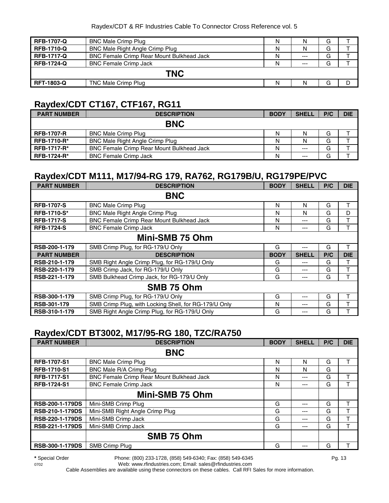| <b>RFB-1707-Q</b> | <b>BNC Male Crimp Plug</b>                | Ν |       | G |  |  |  |
|-------------------|-------------------------------------------|---|-------|---|--|--|--|
| <b>RFB-1710-Q</b> | BNC Male Right Angle Crimp Plug           | Ν | N     | G |  |  |  |
| <b>RFB-1717-Q</b> | BNC Female Crimp Rear Mount Bulkhead Jack | Ν | $---$ | G |  |  |  |
| <b>RFB-1724-Q</b> | <b>BNC Female Crimp Jack</b>              | N | $---$ | G |  |  |  |
| <b>TNC</b>        |                                           |   |       |   |  |  |  |
| <b>RFT-1803-Q</b> | TNC Male Crimp Plug                       | N | N     | G |  |  |  |

#### **Raydex/CDT CT167, CTF167, RG11**

| <b>PART NUMBER</b> | <b>DESCRIPTION</b>                               | <b>BODY</b> | <b>SHELL</b> | P/C | <b>DIE</b> |
|--------------------|--------------------------------------------------|-------------|--------------|-----|------------|
|                    | <b>BNC</b>                                       |             |              |     |            |
| <b>RFB-1707-R</b>  | <b>BNC Male Crimp Plug</b>                       | N           | N            | G   |            |
| <b>RFB-1710-R*</b> | <b>BNC Male Right Angle Crimp Plug</b>           | Ν           |              | G   |            |
| <b>RFB-1717-R*</b> | <b>BNC Female Crimp Rear Mount Bulkhead Jack</b> | Ν           | $--$         | G   |            |
| <b>RFB-1724-R*</b> | <b>BNC Female Crimp Jack</b>                     | N           | $- - -$      | G   |            |

#### **Raydex/CDT M111, M17/94-RG 179, RA762, RG179B/U, RG179PE/PVC**

| <b>PART NUMBER</b> | <b>DESCRIPTION</b>                                    | <b>BODY</b> | <b>SHELL</b> | P/C | <b>DIE</b> |  |  |  |
|--------------------|-------------------------------------------------------|-------------|--------------|-----|------------|--|--|--|
|                    | <b>BNC</b>                                            |             |              |     |            |  |  |  |
| <b>RFB-1707-S</b>  | <b>BNC Male Crimp Plug</b>                            | N           | N            | G   |            |  |  |  |
| <b>RFB-1710-S*</b> | <b>BNC Male Right Angle Crimp Plug</b>                | N           | N            | G   | D          |  |  |  |
| <b>RFB-1717-S</b>  | BNC Female Crimp Rear Mount Bulkhead Jack             | N           | ---          | G   |            |  |  |  |
| <b>RFB-1724-S</b>  | <b>BNC Female Crimp Jack</b>                          | N           | ---          | G   |            |  |  |  |
| Mini-SMB 75 Ohm    |                                                       |             |              |     |            |  |  |  |
| RSB-200-1-179      | SMB Crimp Plug, for RG-179/U Only                     | G           | ---          | G   | т          |  |  |  |
| <b>PART NUMBER</b> | <b>DESCRIPTION</b>                                    | <b>BODY</b> | <b>SHELL</b> | P/C | <b>DIE</b> |  |  |  |
| RSB-210-1-179      | SMB Right Angle Crimp Plug, for RG-179/U Only         | G           | ---          | G   |            |  |  |  |
| RSB-220-1-179      | SMB Crimp Jack, for RG-179/U Only                     | G           | ---          | G   | т          |  |  |  |
| RSB-221-1-179      | SMB Bulkhead Crimp Jack, for RG-179/U Only            | G           | ---          | G   | т          |  |  |  |
|                    | SMB 75 Ohm                                            |             |              |     |            |  |  |  |
| RSB-300-1-179      | SMB Crimp Plug, for RG-179/U Only                     | G           | ---          | G   |            |  |  |  |
| RSB-301-179        | SMB Crimp Plug, with Locking Shell, for RG-179/U Only | N           | ---          | G   |            |  |  |  |
| RSB-310-1-179      | SMB Right Angle Crimp Plug, for RG-179/U Only         | G           | ---          | G   |            |  |  |  |

## **Raydex/CDT BT3002, M17/95-RG 180, TZC/RA750**

| <b>PART NUMBER</b>     | <b>DESCRIPTION</b>                               | <b>BODY</b> | <b>SHELL</b> | P/C | <b>DIE</b> |  |  |  |
|------------------------|--------------------------------------------------|-------------|--------------|-----|------------|--|--|--|
| <b>BNC</b>             |                                                  |             |              |     |            |  |  |  |
| <b>RFB-1707-S1</b>     | <b>BNC Male Crimp Plug</b>                       | N           | N            | G   |            |  |  |  |
| <b>RFB-1710-S1</b>     | BNC Male R/A Crimp Plug                          | N           | N            | G   |            |  |  |  |
| <b>RFB-1717-S1</b>     | <b>BNC Female Crimp Rear Mount Bulkhead Jack</b> | N           | ---          | G   |            |  |  |  |
| <b>RFB-1724-S1</b>     | <b>BNC Female Crimp Jack</b>                     | N           | ---          | G   |            |  |  |  |
|                        | Mini-SMB 75 Ohm                                  |             |              |     |            |  |  |  |
| <b>RSB-200-1-179DS</b> | Mini-SMB Crimp Plug                              | G           | ---          | G   |            |  |  |  |
| <b>RSB-210-1-179DS</b> | Mini-SMB Right Angle Crimp Plug                  | G           | ---          | G   |            |  |  |  |
| <b>RSB-220-1-179DS</b> | Mini-SMB Crimp Jack                              | G           | ---          | G   |            |  |  |  |
| <b>RSB-221-1-179DS</b> | Mini-SMB Crimp Jack                              | G           | ---          | G   |            |  |  |  |
|                        | SMB 75 Ohm                                       |             |              |     |            |  |  |  |
| RSB-300-1-179DS        | SMB Crimp Plug                                   | G           |              | G   |            |  |  |  |

**\*** Special Order Phone: (800) 233-1728, (858) 549-6340; Fax: (858) 549-6345 Pg. 13

0702 Web: www.rfindustries.com; Email: sales@rfindustries.com